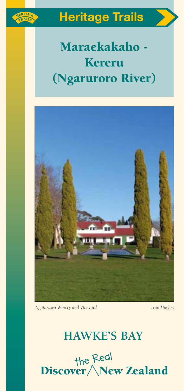

# Heritage Trails

# Maraekakaho - Kereru (Ngaruroro River)



*Ngatarawa Winery and Vineyard Ivan Hughes*

# **HAWKE'S BAY**

the Redl<br>Discover / New Zealand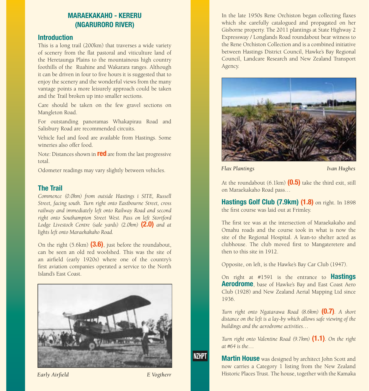# MARAEKAKAHO - KERERU (NGARURORO RIVER)

#### **Introduction**

This is a long trail (200km) that traverses a wide variety of scenery from the flat pastoral and viticulture land of the Heretaunga Plains to the mountainous high country foothills of the Ruahine and Wakarara ranges. Although it can be driven in four to five hours it is suggested that to enjoy the scenery and the wonderful views from the many vantage points a more leisurely approach could be taken and the Trail broken up into smaller sections.

Care should be taken on the few gravel sections on Mangleton Road.

For outstanding panoramas Whakapirau Road and Salisbury Road are recommended circuits.

Vehicle fuel and food are available from Hastings. Some wineries also offer food.

Note: Distances shown in **red** are from the last progressive total.

Odometer readings may vary slightly between vehicles.

#### The Trail

*Commence (0.0km) from outside Hastings i SITE, Russell Street, facing south. Turn right onto Eastbourne Street, cross railway and immediately left onto Railway Road and second right onto Southampton Street West. Pass on left Stortford Lodge Livestock Centre (sale yards) (2.0km)* (2.0) *and at lights left onto Maraekakaho Road.* 

On the right  $(5.6km)$   $(3.6)$ , just before the roundabout, can be seen an old red woolshed. This was the site of an airfield (early 1920s) where one of the country's first aviation companies operated a service to the North Island's East Coast.



**NZHPT** 

In the late 1950s Rene Orchiston began collecting flaxes which she carefully catalogued and propagated on her Gisborne property. The 2011 plantings at State Highway 2 Expressway / Longlands Road roundabout bear witness to the Rene Orchiston Collection and is a combined initiative between Hastings District Council, Hawke's Bay Regional Council, Landcare Research and New Zealand Transport Agency.



*Flax Plantings Ivan Hughes*

At the roundabout  $(6.1 \text{km})$   $(0.5)$  take the third exit, still on Maraekakaho Road pass…

Hastings Golf Club (7.9km) (1.8) on right. In 1898 the first course was laid out at Frimley.

The first tee was at the intersection of Maraekakaho and Omahu roads and the course took in what is now the site of the Regional Hospital. A lean-to shelter acted as clubhouse. The club moved first to Mangateretere and then to this site in 1912.

Opposite, on left, is the Hawke's Bay Car Club (1947).

On right at #1591 is the entrance to Hastings **Aerodrome**, base of Hawke's Bay and East Coast Aero Club (1928) and New Zealand Aerial Mapping Ltd since 1936.

*Turn right onto Ngatarawa Road (8.6km)* (0.7)*. A short distance on the left is a lay-by which allows safe viewing of the buildings and the aerodrome activities…*

*Turn right onto Valentine Road (9.7km)* (1.1)*. On the right at #64 is the…* 

**Martin House** was designed by architect John Scott and now carries a Category 1 listing from the New Zealand **Early Airfield E** Vogtherr **E** Vogtherr **Historic Places Trust. The house, together with the Kamaka**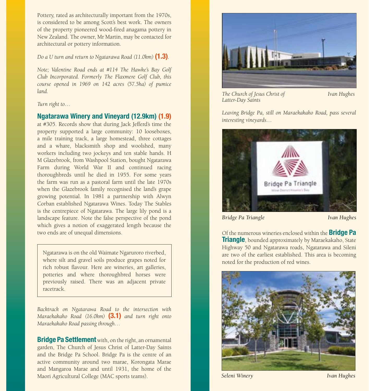Pottery, rated as architecturally important from the 1970s, is considered to be among Scott's best work. The owners of the property pioneered wood-fired anagama pottery in New Zealand. The owner, Mr Martin, may be contacted for architectural or pottery information.

*Do a U turn and return to Ngatarawa Road (11.0km)* (1.3).

*Note; Valentine Road ends at #114 The Hawke's Bay Golf Club Incorporated. Formerly The Flaxmere Golf Club, this course opened in 1969 on 142 acres (57.5ha) of pumice land.* 

*Turn right to…*

#### Ngatarawa Winery and Vineyard (12.9km) (1.9)

at #305. Records show that during Jack Jefferd's time the property supported a large community: 10 looseboxes, a mile training track, a large homestead, three cottages and a whare, blacksmith shop and woolshed, many workers including two jockeys and ten stable hands. H M Glazebrook, from Washpool Station, bought Ngatarawa Farm during World War II and continued racing thoroughbreds until he died in 1955. For some years the farm was run as a pastoral farm until the late 1970s when the Glazebrook family recognised the land's grape growing potential. In 1981 a partnership with Alwyn Corban established Ngatarawa Wines. Today The Stables is the centrepiece of Ngatarawa. The large lily pond is a landscape feature. Note the false perspective of the pond which gives a notion of exaggerated length because the two ends are of unequal dimensions.

Ngatarawa is on the old Waimate Ngaruroro riverbed, where silt and gravel soils produce grapes noted for rich robust flavour. Here are wineries, art galleries, potteries and where thoroughbred horses were previously raised. There was an adjacent private racetrack.

*Backtrack on Ngatarawa Road to the intersection with Maraekakaho Road (16.0km)* (3.1) *and turn right onto Maraekakaho Road passing through…* 

**Bridge Pa Settlement** with, on the right, an ornamental garden, The Church of Jesus Christ of Latter-Day Saints and the Bridge Pa School. Bridge Pa is the centre of an active community around two marae, Korongata Marae and Mangaroa Marae and until 1931, the home of the Maori Agricultural College (MAC sports teams).



*The Church of Jesus Christ of Ivan Hughes Latter-Day Saints*

*Leaving Bridge Pa, still on Maraekakaho Road, pass several interesting vineyards…* 



*Bridge Pa Triangle Ivan Hughes*

Of the numerous wineries enclosed within the **Bridge Pa Triangle**, bounded approximately by Maraekakaho, State Highway 50 and Ngatarawa roads, Ngatarawa and Sileni are two of the earliest established. This area is becoming noted for the production of red wines.

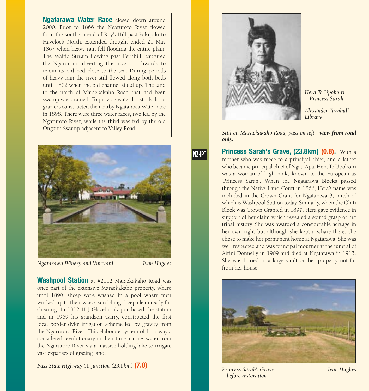Ngatarawa Water Race closed down around 2000. Prior to 1866 the Ngaruroro River flowed from the southern end of Roy's Hill past Pakipaki to Havelock North. Extended drought ended 21 May 1867 when heavy rain fell flooding the entire plain. The Waitio Stream flowing past Fernhill, captured the Ngaruroro, diverting this river northwards to rejoin its old bed close to the sea. During periods of heavy rain the river still flowed along both beds until 1872 when the old channel silted up. The land to the north of Maraekakaho Road that had been swamp was drained. To provide water for stock, local graziers constructed the nearby Ngatarawa Water race in 1898. There were three water races, two fed by the Ngaruroro River, while the third was fed by the old Onganu Swamp adjacent to Valley Road.



*Ngatarawa Winery and Vineyard Ivan Hughes*

**NZHPT** 

Washpool Station at #2112 Maraekakaho Road was once part of the extensive Maraekakaho property, where until 1890, sheep were washed in a pool where men worked up to their waists scrubbing sheep clean ready for shearing. In 1912 H J Glazebrook purchased the station and in 1969 his grandson Garry, constructed the first local border dyke irrigation scheme fed by gravity from the Ngaruroro River. This elaborate system of floodways, considered revolutionary in their time, carries water from the Ngaruroro River via a massive holding lake to irrigate vast expanses of grazing land.

*Pass State Highway 50 junction (23.0km)* (7.0)



*Hera Te Upokoiri - Princess Sarah*

*Alexander Turnbull Library*

 *Still on Maraekakaho Road, pass on left - view from road only.*

**Princess Sarah's Grave, (23.8km) (0.8).** With a mother who was niece to a principal chief, and a father who became principal chief of Ngati Apa, Hera Te Upokoiri was a woman of high rank, known to the European as 'Princess Sarah'. When the Ngatarawa Blocks passed through the Native Land Court in 1866, Hera's name was included in the Crown Grant for Ngatarawa 3, much of which is Washpool Station today. Similarly, when the Ohiti Block was Crown Granted in 1897, Hera gave evidence in support of her claim which revealed a sound grasp of her tribal history. She was awarded a considerable acreage in her own right but although she kept a whare there, she chose to make her permanent home at Ngatarawa. She was well respected and was principal mourner at the funeral of Airini Donnelly in 1909 and died at Ngatarawa in 1913. She was buried in a large vault on her property not far from her house.



*Princess Sarah's Grave Ivan Hughes - before restoration*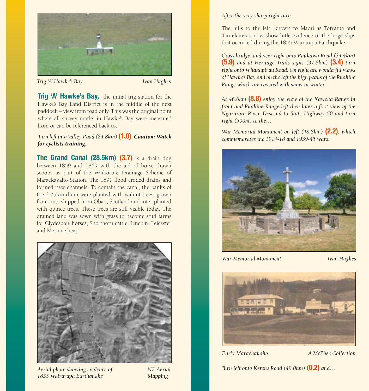

*Trig 'A' Hawke's Bay Ivan Hughes*

Trig 'A' Hawke's Bay, the initial trig station for the Hawke's Bay Land District is in the middle of the next paddock – view from road only. This was the original point where all survey marks in Hawke's Bay were measured from or can be referenced back to.

*Turn left into Valley Road (24.8km)* (1.0)*. Caution: Watch for cyclists training.*

The Grand Canal (28.5km) (3.7) is a drain dug between 1859 and 1869 with the aid of horse drawn scoops as part of the Waikorure Drainage Scheme of Maraekakaho Station. The 1897 flood eroded drains and formed new channels. To contain the canal, the banks of the 2.75km drain were planted with walnut trees, grown from nuts shipped from Oban, Scotland and inter-planted with quince trees. These trees are still visible today. The drained land was sown with grass to become stud farms for Clydesdale horses, Shorthorn cattle, Lincoln, Leicester and Merino sheep.



*Aerial photo showing evidence of NZ Aerial 1855 Wairarapa Earthquake Mapping*

*After the very sharp right turn…*

The hills to the left, known to Maori as Toreatua and Taurekareka, now show little evidence of the huge slips that occurred during the 1855 Wairarapa Earthquake.

*Cross bridge, and veer right onto Raukawa Road (34.4km)*  (5.9) *and at Heritage Trails signs (37.8km)* (3.4) *turn right onto Whakapirau Road. On right are wonderful views of Hawke's Bay and on the left the high peaks of the Ruahine Range which are covered with snow in winter.* 

*At 46.6km* (8.8) *enjoy the view of the Kaweka Range in front and Ruahine Range left then later a first view of the Ngaruroro River. Descend to State Highway 50 and turn right (500m) to the…*

*War Memorial Monument on left (48.8km)* (2.2)*, which commemorates the 1914-18 and 1939-45 wars.* 



*War Memorial Monument Ivan Hughes*



*Early Maraekakaho A McPhee Collection* 

*Turn left onto Kereru Road (49.0km)* **(0.2)** and...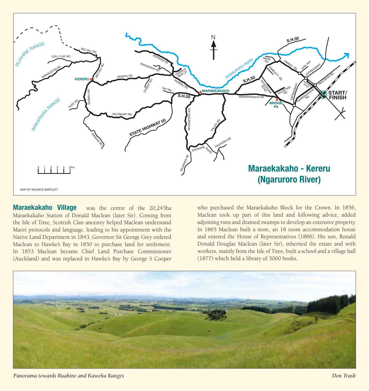

Maraekakaho Village was the centre of the 20,243ha Maraekakaho Station of Donald Maclean (later Sir). Coming from the Isle of Tiree, Scottish Clan ancestry helped Maclean understand Maori protocols and language, leading to his appointment with the Native Land Department in 1843. Governor Sir George Grey ordered Maclean to Hawke's Bay in 1850 to purchase land for settlement. In 1853 Maclean became Chief Land Purchase Commissioner (Auckland) and was replaced in Hawke's Bay by George S Cooper

who purchased the Maraekakaho Block for the Crown. In 1856, Maclean took up part of this land and following advice, added adjoining runs and drained swamps to develop an extensive property. In 1865 Maclean built a store, an 18 room accommodation house and entered the House of Representatives (1866). His son, Ronald Donald Douglas Maclean (later Sir), inherited the estate and with workers, mainly from the Isle of Tiree, built a school and a village hall (1877) which held a library of 3000 books.



*Panorama towards Ruahine and Kaweka Ranges Don Trask*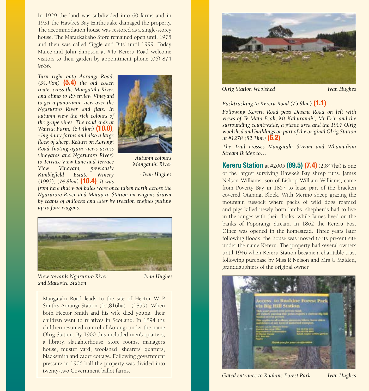In 1929 the land was subdivided into 60 farms and in 1931 the Hawke's Bay Earthquake damaged the property. The accommodation house was restored as a single-storey house. The Maraekakaho Store remained open until 1975 and then was called 'Jiggle and Bits' until 1999. Today Maree and John Simpson at #45 Kereru Road welcome visitors to their garden by appointment phone (06) 874 9636.

*Turn right onto Aorangi Road, (54.4km)* (5.4) *the old coach route, cross the Mangatahi River, and climb to Riverview Vineyard to get a panoramic view over the Ngaruroro River and flats. In autumn view the rich colours of the grape vines. The road ends at Wairua Farm, (64.4km)* (10.0)*, - big dairy farms and also a large flock of sheep. Return on Aorangi Road (noting again views across vineyards and Ngaruroro River) to Terrace View Lane and Terrace View Vineyard, previously Kimblefield Estate Winery (1993), (74.8km)* (10.4)*. It was* 



Autumn colours Mangatahi River

- Ivan Hughes

*from here that wool bales were once taken north across the Ngaruroro River and Matapiro Station on wagons drawn by teams of bullocks and later by traction engines pulling up to four wagons.*



*View towards Ngaruroro River Ivan Hughes and Matapiro Station*

Mangatahi Road leads to the site of Hector W P Smith's Aorangi Station (10,816ha) (1859). When both Hector Smith and his wife died young, their children went to relatives in Scotland. In 1894 the children resumed control of Aorangi under the name Olrig Station. By 1900 this included men's quarters, a library, slaughterhouse, store rooms, manager's house, muster yard, woolshed, shearers' quarters, blacksmith and cadet cottage. Following government pressure in 1906 half the property was divided into twenty-two Government ballot farms.



*Olrig Station Woolshed Ivan Hughes*

*Backtracking to Kereru Road (75.9km)* (1.1)*…* 

*Following Kereru Road pass Dasent Road on left with views of Te Mata Peak, Mt Kahuranaki, Mt Erin and the surrounding countryside, a picnic area and the 1907 Olrig woolshed and buildings on part of the original Olrig Station at #1278 (82.1km)* (6.2)*.*

*The Trail crosses Mangatahi Stream and Whanaukini Stream Bridge to…*

**Kereru Station** at #2005 (89.5) (7.4) (2,847ha) is one of the largest surviving Hawke's Bay sheep runs. James Nelson Williams, son of Bishop William Williams, came from Poverty Bay in 1857 to lease part of the bracken covered Otarangi Block. With Merino sheep grazing the mountain tussock where packs of wild dogs roamed and pigs killed newly born lambs, shepherds had to live in the ranges with their flocks, while James lived on the banks of Poporangi Stream. In 1862 the Kereru Post Office was opened in the homestead. Three years later following floods, the house was moved to its present site under the name Kereru. The property had several owners until 1946 when Kereru Station became a charitable trust following purchase by Miss R Nelson and Mrs G Malden, granddaughters of the original owner.



*Gated entrance to Ruahine Forest Park Ivan Hughes*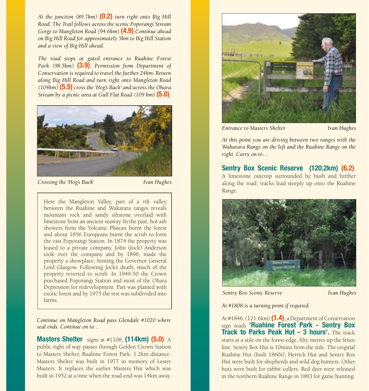*At the junction (89.7km)* (0.2) *turn right onto Big Hill Road. The Trail follows across the scenic Poporangi Stream Gorge to Mangleton Road (94.6km)* (4.9)*.Continue ahead on Big Hill Road for approximately 5km to Big Hill Station and a view of Big Hill ahead.* 

*The road stops at gated entrance to Ruahine Forest Park (98.5km)* (3.9)*. Permission from Department of Conservation is required to travel the further 24km. Return along Big Hill Road and turn right onto Mangleton Road (104km)* (5.5) *cross the 'Hog's Back' and across the Ohara Stream by a picnic area at Gull Flat Road (109 km)* (5.0).



*Crossing the 'Hog's Back' Ivan Hughes*

Here the Mangleton Valley, part of a rift valley between the Ruahine and Wakarara ranges reveals mountain rock and sandy siltstone overlaid with limestone from an ancient seaway. In the past, hot ash showers from the Volcanic Plateau burnt the forest and about 1856 Europeans burnt the scrub to form the vast Poporangi Station. In 1874 the property was leased to a private company. John (Jock) Anderson took over the company and by 1896, made the property a showplace, hosting the Governor General Lord Glasgow. Following Jock's death, much of the property reverted to scrub. In 1949-50 the Crown purchased Poporangi Station and most of the Ohara Depression for redevelopment. Part was planted with exotic forest and by 1975 the rest was subdivided into farms.

*Continue on Mangleton Road pass Glendale #1020 where seal ends. Continue on to…* 

**Masters Shelter** signs at  $\#1108$ . (114km) (5.0). A public right of way passes through Golden Crown Station to Masters Shelter, Ruahine Forest Park, 1.2km distance. Masters Shelter was built in 1977 in memory of Lester Masters. It replaces the earlier Masters Hut which was built in 1952 at a time when the road-end was 14km away.



*Entrance to Masters Shelter Ivan Hughes*

*At this point you are driving between two ranges with the Wakarara Range on the left and the Ruahine Range on the right. Carry on to…*

## Sentry Box Scenic Reserve (120.2km) (6.2).

A limestone outcrop surrounded by bush and further along the road, tracks lead steeply up onto the Ruahine Range.



*Sentry Box Scenic Reserve Ivan Hughes*

*At #1808 is a turning point if required.* 

At  $\#1846$ ,  $(121.6km)$   $(1.4)$ , a Department of Conservation sign reads 'Ruahine Forest Park - Sentry Box **Track to Parks Peak Hut - 3 hours'.** The track starts at a stile on the forest edge, fifty metres up the fence line. Sentry Box Hut is 10mins from the stile. The original Ruahine Hut (built 1860s), Herrick Hut and Sentry Box Hut were built for shepherds and wild dog hunters. Other huts were built for rabbit cullers. Red deer were released in the northern Ruahine Range in 1883 for game hunting.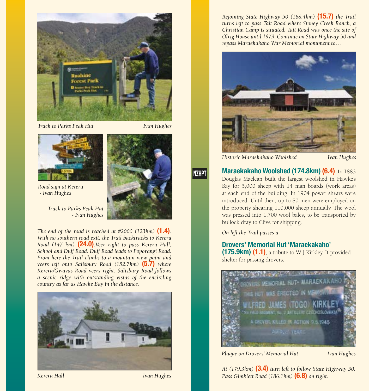

*Track to Parks Peak Hut Ivan Hughes*



*Road sign at Kereru - Ivan Hughes*

*Track to Parks Peak Hut - Ivan Hughes*

*The end of the road is reached at #2000 (123km)* **(1.4)**. *With no southern road exit, the Trail backtracks to Kereru Road (147 km)* (24.0)*.Veer right to pass Kereru Hall, School and Duff Road. Duff Road leads to Poporangi Road. From here the Trail climbs to a mountain view point and veers left onto Salisbury Road (152.7km)* **(5.7)** where *Kereru/Gwavas Road veers right. Salisbury Road follows a scenic ridge with outstanding vistas of the encircling country as far as Hawke Bay in the distance.*



*Kereru Hall Ivan Hughes*

*Rejoining State Highway 50 (168.4km)* (15.7) *the Trail turns left to pass Tait Road where Stoney Creek Ranch, a Christian Camp is situated. Tait Road was once the site of Olrig House until 1979. Continue on State Highway 50 and repass Maraekakaho War Memorial monument to…* 



*Historic Maraekakaho Woolshed Ivan Hughes*

## **NZHPT**

Maraekakaho Woolshed (174.8km) (6.4). In 1883 Douglas Maclean built the largest woolshed in Hawke's Bay for 5,000 sheep with 14 man boards (work areas) at each end of the building. In 1904 power shears were introduced. Until then, up to 80 men were employed on the property shearing 110,000 sheep annually. The wool was pressed into 1,700 wool bales, to be transported by bullock dray to Clive for shipping.

*On left the Trail passes a…* 

#### Drovers' Memorial Hut 'Maraekakaho'

 $(175.9km)$   $(1.1)$ , a tribute to W J Kirkley. It provided shelter for passing drovers.



*Plaque on Drovers' Memorial Hut Ivan Hughes*

*At (179.3km)* (3.4) *turn left to follow State Highway 50. Pass Gimblett Road (186.1km)* (6.8) *on right.*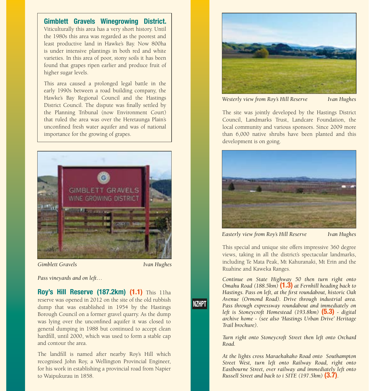#### Gimblett Gravels Winegrowing District.

Viticulturally this area has a very short history. Until the 1980s this area was regarded as the poorest and least productive land in Hawke's Bay. Now 800ha is under intensive plantings in both red and white varieties. In this area of poor, stony soils it has been found that grapes ripen earlier and produce fruit of higher sugar levels.

This area caused a prolonged legal battle in the early 1990s between a road building company, the Hawke's Bay Regional Council and the Hastings District Council. The dispute was finally settled by the Planning Tribunal (now Environment Court) that ruled the area was over the Heretaunga Plain's unconfined fresh water aquifer and was of national importance for the growing of grapes.



*Gimblett Gravels Ivan Hughes*

**NZHPT** 

*Pass vineyards and on left…*

Roy's Hill Reserve (187.2km) (1.1) This 11ha reserve was opened in 2012 on the site of the old rubbish dump that was established in 1954 by the Hastings Borough Council on a former gravel quarry. As the dump was lying over the unconfined aquifer it was closed to general dumping in 1988 but continued to accept clean hardfill, until 2000, which was used to form a stable cap and contour the area.

The landfill is named after nearby Roy's Hill which recognised John Roy, a Wellington Provincial Engineer, for his work in establishing a provincial road from Napier to Waipukurau in 1858.



*Westerly view from Roy's Hill Reserve Ivan Hughes*

The site was jointly developed by the Hastings District Council, Landmarks Trust, Landcare Foundation, the local community and various sponsors. Since 2009 more than 6,000 native shrubs have been planted and this development is on going.



*Easterly view from Roy's Hill Reserve Ivan Hughes*

This special and unique site offers impressive 360 degree views, taking in all the district's spectacular landmarks, including Te Mata Peak, Mt Kahuranaki, Mt Erin and the Ruahine and Kaweka Ranges.

*Continue on State Highway 50 then turn right onto Omahu Road (188.5km)* (1.3) *at Fernhill heading back to Hastings. Pass on left, at the first roundabout, historic Oak Avenue (Ormond Road). Drive through industrial area. Pass through expressway roundabout and immediately on left is Stoneycroft Homestead (193.8km)* (5.3) *- digital archive home - (see also 'Hastings Urban Drive' Heritage Trail brochure).* 

*Turn right onto Stoneycroft Street then left onto Orchard Road.* 

*At the lights cross Maraekakaho Road onto Southampton Street West, turn left onto Railway Road, right onto Eastbourne Street, over railway and immediately left onto Russell Street and back to i SITE (197.5km)* (3.7).